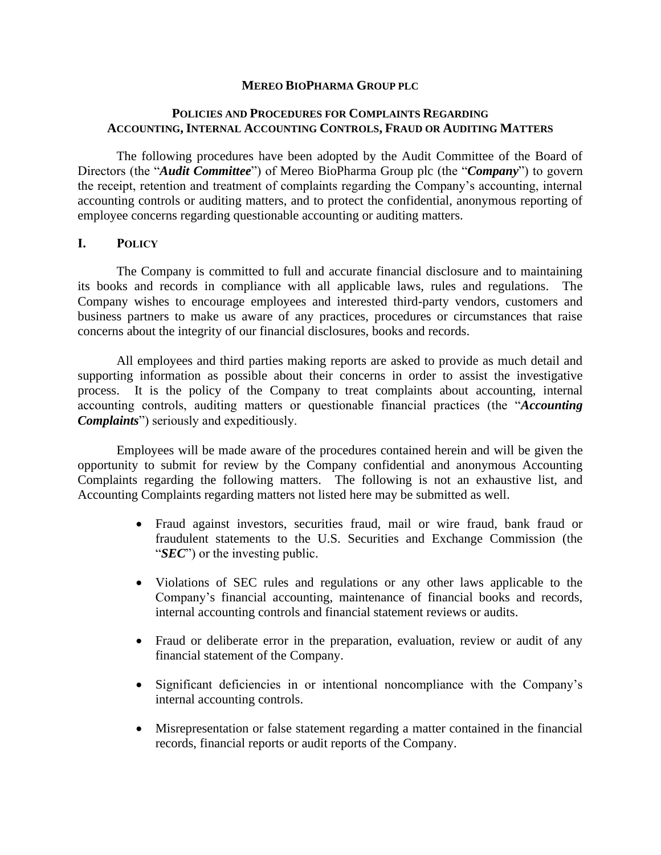#### **MEREO BIOPHARMA GROUP PLC**

#### **POLICIES AND PROCEDURES FOR COMPLAINTS REGARDING ACCOUNTING, INTERNAL ACCOUNTING CONTROLS, FRAUD OR AUDITING MATTERS**

The following procedures have been adopted by the Audit Committee of the Board of Directors (the "*Audit Committee*") of Mereo BioPharma Group plc (the "*Company*") to govern the receipt, retention and treatment of complaints regarding the Company's accounting, internal accounting controls or auditing matters, and to protect the confidential, anonymous reporting of employee concerns regarding questionable accounting or auditing matters.

#### **I. POLICY**

The Company is committed to full and accurate financial disclosure and to maintaining its books and records in compliance with all applicable laws, rules and regulations. The Company wishes to encourage employees and interested third-party vendors, customers and business partners to make us aware of any practices, procedures or circumstances that raise concerns about the integrity of our financial disclosures, books and records.

All employees and third parties making reports are asked to provide as much detail and supporting information as possible about their concerns in order to assist the investigative process. It is the policy of the Company to treat complaints about accounting, internal accounting controls, auditing matters or questionable financial practices (the "*Accounting Complaints*") seriously and expeditiously.

Employees will be made aware of the procedures contained herein and will be given the opportunity to submit for review by the Company confidential and anonymous Accounting Complaints regarding the following matters. The following is not an exhaustive list, and Accounting Complaints regarding matters not listed here may be submitted as well.

- Fraud against investors, securities fraud, mail or wire fraud, bank fraud or fraudulent statements to the U.S. Securities and Exchange Commission (the "*SEC*") or the investing public.
- Violations of SEC rules and regulations or any other laws applicable to the Company's financial accounting, maintenance of financial books and records, internal accounting controls and financial statement reviews or audits.
- Fraud or deliberate error in the preparation, evaluation, review or audit of any financial statement of the Company.
- Significant deficiencies in or intentional noncompliance with the Company's internal accounting controls.
- Misrepresentation or false statement regarding a matter contained in the financial records, financial reports or audit reports of the Company.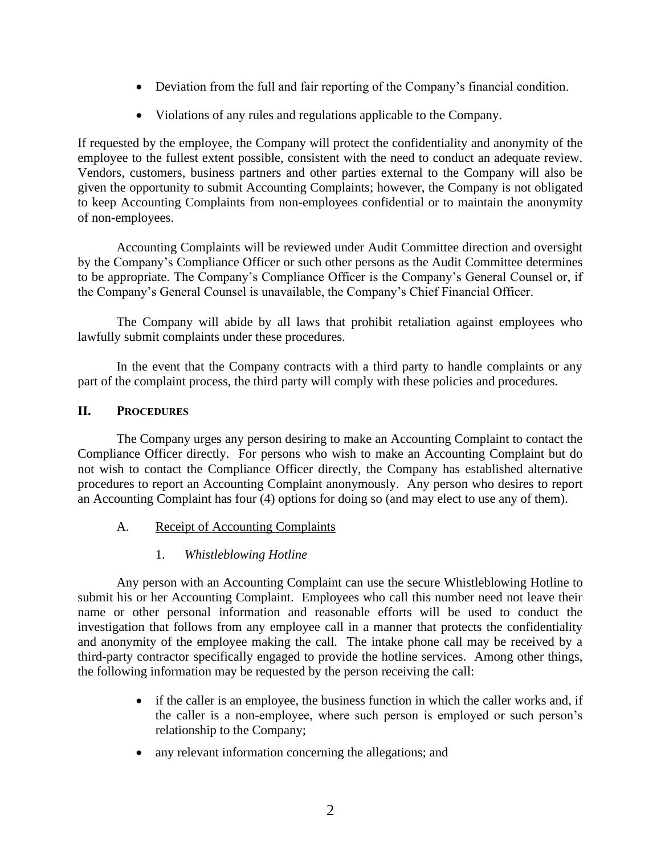- Deviation from the full and fair reporting of the Company's financial condition.
- Violations of any rules and regulations applicable to the Company.

If requested by the employee, the Company will protect the confidentiality and anonymity of the employee to the fullest extent possible, consistent with the need to conduct an adequate review. Vendors, customers, business partners and other parties external to the Company will also be given the opportunity to submit Accounting Complaints; however, the Company is not obligated to keep Accounting Complaints from non-employees confidential or to maintain the anonymity of non-employees.

Accounting Complaints will be reviewed under Audit Committee direction and oversight by the Company's Compliance Officer or such other persons as the Audit Committee determines to be appropriate. The Company's Compliance Officer is the Company's General Counsel or, if the Company's General Counsel is unavailable, the Company's Chief Financial Officer.

The Company will abide by all laws that prohibit retaliation against employees who lawfully submit complaints under these procedures.

In the event that the Company contracts with a third party to handle complaints or any part of the complaint process, the third party will comply with these policies and procedures.

## **II. PROCEDURES**

The Company urges any person desiring to make an Accounting Complaint to contact the Compliance Officer directly. For persons who wish to make an Accounting Complaint but do not wish to contact the Compliance Officer directly, the Company has established alternative procedures to report an Accounting Complaint anonymously. Any person who desires to report an Accounting Complaint has four (4) options for doing so (and may elect to use any of them).

# A. Receipt of Accounting Complaints

# 1. *Whistleblowing Hotline*

Any person with an Accounting Complaint can use the secure Whistleblowing Hotline to submit his or her Accounting Complaint. Employees who call this number need not leave their name or other personal information and reasonable efforts will be used to conduct the investigation that follows from any employee call in a manner that protects the confidentiality and anonymity of the employee making the call. The intake phone call may be received by a third-party contractor specifically engaged to provide the hotline services. Among other things, the following information may be requested by the person receiving the call:

- if the caller is an employee, the business function in which the caller works and, if the caller is a non-employee, where such person is employed or such person's relationship to the Company;
- any relevant information concerning the allegations; and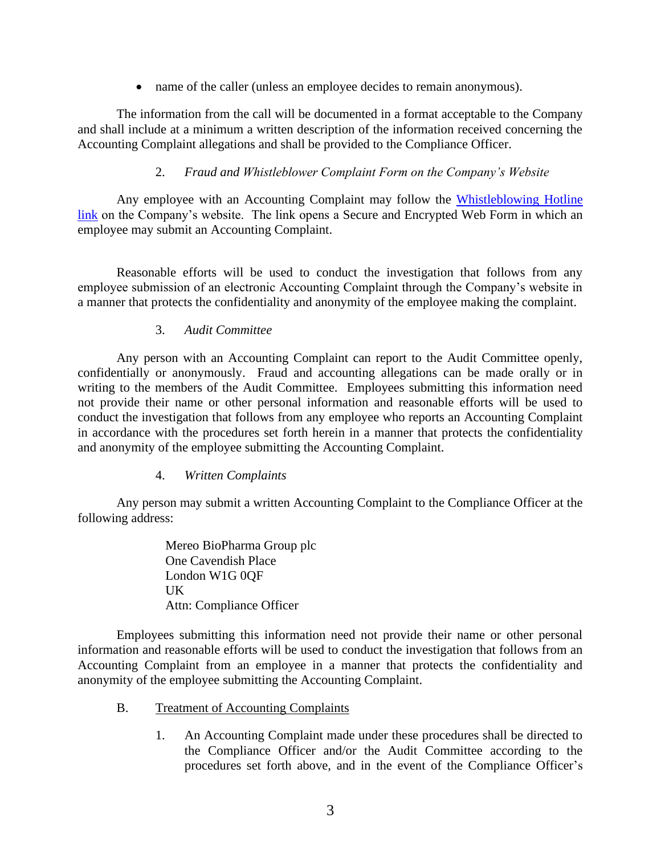• name of the caller (unless an employee decides to remain anonymous).

The information from the call will be documented in a format acceptable to the Company and shall include at a minimum a written description of the information received concerning the Accounting Complaint allegations and shall be provided to the Compliance Officer.

# 2. *Fraud and Whistleblower Complaint Form on the Company's Website*

Any employee with an Accounting Complaint may follow the Whistleblowing Hotline [link](https://www.whistleblowerservices.com/mreo/) on the Company's website. The link opens a Secure and Encrypted Web Form in which an employee may submit an Accounting Complaint.

Reasonable efforts will be used to conduct the investigation that follows from any employee submission of an electronic Accounting Complaint through the Company's website in a manner that protects the confidentiality and anonymity of the employee making the complaint.

## 3. *Audit Committee*

Any person with an Accounting Complaint can report to the Audit Committee openly, confidentially or anonymously. Fraud and accounting allegations can be made orally or in writing to the members of the Audit Committee. Employees submitting this information need not provide their name or other personal information and reasonable efforts will be used to conduct the investigation that follows from any employee who reports an Accounting Complaint in accordance with the procedures set forth herein in a manner that protects the confidentiality and anonymity of the employee submitting the Accounting Complaint.

#### 4. *Written Complaints*

Any person may submit a written Accounting Complaint to the Compliance Officer at the following address:

> Mereo BioPharma Group plc One Cavendish Place London W1G 0QF UK Attn: Compliance Officer

Employees submitting this information need not provide their name or other personal information and reasonable efforts will be used to conduct the investigation that follows from an Accounting Complaint from an employee in a manner that protects the confidentiality and anonymity of the employee submitting the Accounting Complaint.

- B. Treatment of Accounting Complaints
	- 1. An Accounting Complaint made under these procedures shall be directed to the Compliance Officer and/or the Audit Committee according to the procedures set forth above, and in the event of the Compliance Officer's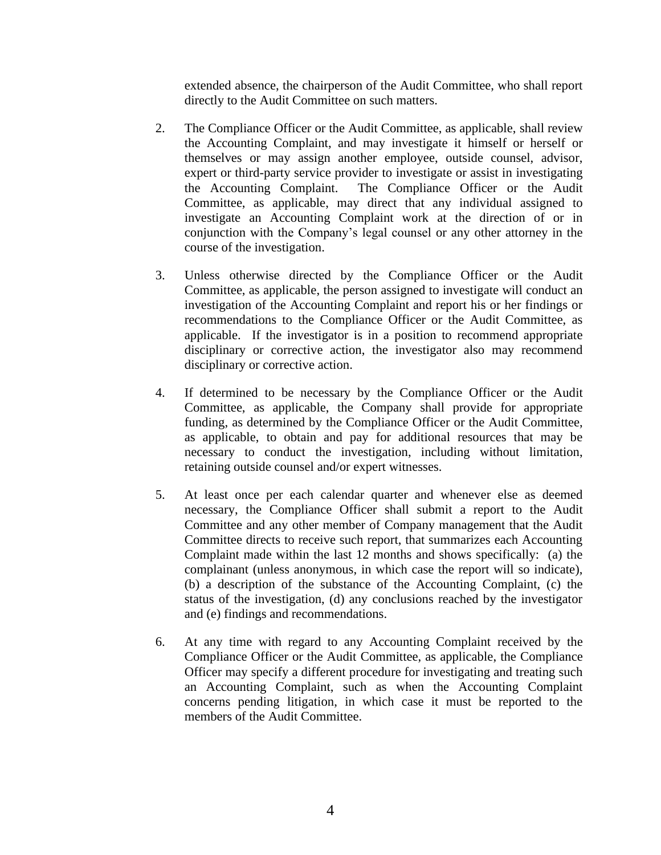extended absence, the chairperson of the Audit Committee, who shall report directly to the Audit Committee on such matters.

- 2. The Compliance Officer or the Audit Committee, as applicable, shall review the Accounting Complaint, and may investigate it himself or herself or themselves or may assign another employee, outside counsel, advisor, expert or third-party service provider to investigate or assist in investigating the Accounting Complaint. The Compliance Officer or the Audit Committee, as applicable, may direct that any individual assigned to investigate an Accounting Complaint work at the direction of or in conjunction with the Company's legal counsel or any other attorney in the course of the investigation.
- 3. Unless otherwise directed by the Compliance Officer or the Audit Committee, as applicable, the person assigned to investigate will conduct an investigation of the Accounting Complaint and report his or her findings or recommendations to the Compliance Officer or the Audit Committee, as applicable. If the investigator is in a position to recommend appropriate disciplinary or corrective action, the investigator also may recommend disciplinary or corrective action.
- 4. If determined to be necessary by the Compliance Officer or the Audit Committee, as applicable, the Company shall provide for appropriate funding, as determined by the Compliance Officer or the Audit Committee, as applicable, to obtain and pay for additional resources that may be necessary to conduct the investigation, including without limitation, retaining outside counsel and/or expert witnesses.
- 5. At least once per each calendar quarter and whenever else as deemed necessary, the Compliance Officer shall submit a report to the Audit Committee and any other member of Company management that the Audit Committee directs to receive such report, that summarizes each Accounting Complaint made within the last 12 months and shows specifically: (a) the complainant (unless anonymous, in which case the report will so indicate), (b) a description of the substance of the Accounting Complaint, (c) the status of the investigation, (d) any conclusions reached by the investigator and (e) findings and recommendations.
- 6. At any time with regard to any Accounting Complaint received by the Compliance Officer or the Audit Committee, as applicable, the Compliance Officer may specify a different procedure for investigating and treating such an Accounting Complaint, such as when the Accounting Complaint concerns pending litigation, in which case it must be reported to the members of the Audit Committee.